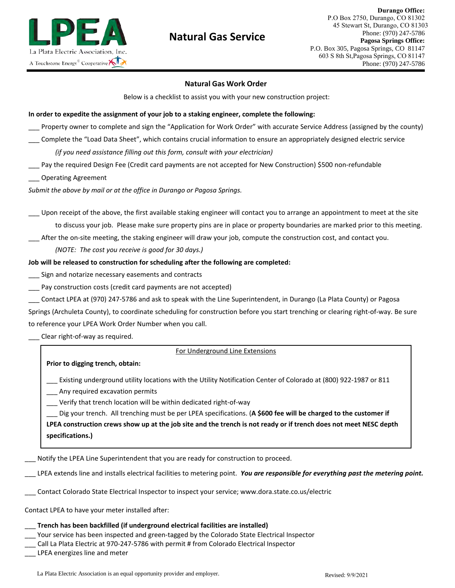

# **Natural Gas Service**

# **Natural Gas Work Order**

Below is a checklist to assist you with your new construction project:

#### **In order to expedite the assignment of your job to a staking engineer, complete the following:**

- Property owner to complete and sign the "Application for Work Order" with accurate Service Address (assigned by the county)
- \_\_\_ Complete the "Load Data Sheet", which contains crucial information to ensure an appropriately designed electric service *(if you need assistance filling out this form, consult with your electrician)*
- Pay the required Design Fee (Credit card payments are not accepted for New Construction) \$500 non-refundable
- \_\_\_ Operating Agreement

*Submit the above by mail or at the office in Durango or Pagosa Springs.*

- \_\_\_ Upon receipt of the above, the first available staking engineer will contact you to arrange an appointment to meet at the site to discuss your job. Please make sure property pins are in place or property boundaries are marked prior to this meeting.
- \_\_\_ After the on-site meeting, the staking engineer will draw your job, compute the construction cost, and contact you.

*(NOTE: The cost you receive is good for 30 days.)* 

## **Job will be released to construction for scheduling after the following are completed:**

- Sign and notarize necessary easements and contracts
- Pay construction costs (credit card payments are not accepted)
- \_\_\_ Contact LPEA at (970) 247-5786 and ask to speak with the Line Superintendent, in Durango (La Plata County) or Pagosa
- Springs (Archuleta County), to coordinate scheduling for construction before you start trenching or clearing right-of-way. Be sure to reference your LPEA Work Order Number when you call.

Clear right-of-way as required.

## For Underground Line Extensions

## **Prior to digging trench, obtain:**

- \_\_\_ Existing underground utility locations with the Utility Notification Center of Colorado at (800) 922-1987 or 811
- \_\_\_ Any required excavation permits
- \_\_\_ Verify that trench location will be within dedicated right-of-way

\_\_\_ Dig your trench. All trenching must be per LPEA specifications. (**A \$600 fee will be charged to the customer if LPEA construction crews show up at the job site and the trench is not ready or if trench does not meet NESC depth specifications.)**

Notify the LPEA Line Superintendent that you are ready for construction to proceed.

- \_\_\_ LPEA extends line and installs electrical facilities to metering point. *You are responsible for everything past the metering point.*
- \_\_\_ Contact Colorado State Electrical Inspector to inspect your service; www.dora.state.co.us/electric

Contact LPEA to have your meter installed after:

# \_\_\_ **Trench has been backfilled (if underground electrical facilities are installed)**

- \_\_\_ Your service has been inspected and green-tagged by the Colorado State Electrical Inspector
- \_\_\_ Call La Plata Electric at 970-247-5786 with permit # from Colorado Electrical Inspector

\_\_\_ LPEA energizes line and meter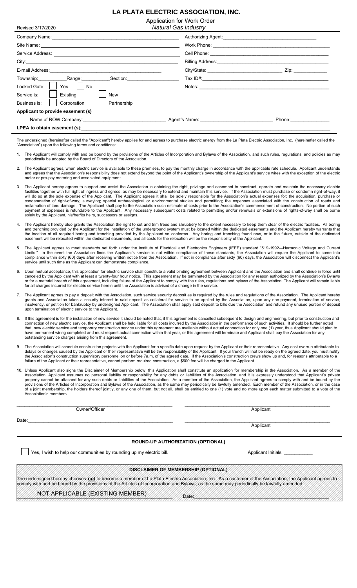# **LA PLATA ELECTRIC ASSOCIATION, INC.**

Application for Work Order

| Revised 3/17/2020                                                                                                                                                                                                              | <b>Natural Gas Industry</b>                                                                                                                                                                                                    |                                                                                                                                                                                                                                |
|--------------------------------------------------------------------------------------------------------------------------------------------------------------------------------------------------------------------------------|--------------------------------------------------------------------------------------------------------------------------------------------------------------------------------------------------------------------------------|--------------------------------------------------------------------------------------------------------------------------------------------------------------------------------------------------------------------------------|
| Company Name: The Company Name: The Company Name: The Company Name: The Company Name: The Company Name: The Company Name: The Company Name: The Company Name: The Company Name: The Company Of Company Of Company Of Company O | Authorizing Agent: Authorizing Agent:                                                                                                                                                                                          |                                                                                                                                                                                                                                |
|                                                                                                                                                                                                                                |                                                                                                                                                                                                                                |                                                                                                                                                                                                                                |
|                                                                                                                                                                                                                                |                                                                                                                                                                                                                                |                                                                                                                                                                                                                                |
|                                                                                                                                                                                                                                |                                                                                                                                                                                                                                |                                                                                                                                                                                                                                |
|                                                                                                                                                                                                                                |                                                                                                                                                                                                                                | Zip: the contract of the contract of the contract of the contract of the contract of the contract of the contract of the contract of the contract of the contract of the contract of the contract of the contract of the contr |
| Section: <b>Section</b>                                                                                                                                                                                                        |                                                                                                                                                                                                                                |                                                                                                                                                                                                                                |
| Yes No<br>Locked Gate:                                                                                                                                                                                                         | Notes: We have a state of the state of the state of the state of the state of the state of the state of the state of the state of the state of the state of the state of the state of the state of the state of the state of t |                                                                                                                                                                                                                                |
| Existing<br>Service is:<br>New                                                                                                                                                                                                 |                                                                                                                                                                                                                                |                                                                                                                                                                                                                                |
| Corporation<br>Partnership<br>Business is:                                                                                                                                                                                     |                                                                                                                                                                                                                                |                                                                                                                                                                                                                                |
| Applicant to provide easement (s)                                                                                                                                                                                              |                                                                                                                                                                                                                                |                                                                                                                                                                                                                                |
| Name of ROW Company: the company of the company of the company of the company of the company of the company of the company of the company of the company of the company of the company of the company of the company of the co |                                                                                                                                                                                                                                | Phone: the contract of the contract of the contract of the contract of the contract of the contract of the contract of the contract of the contract of the contract of the contract of the contract of the contract of the con |
|                                                                                                                                                                                                                                |                                                                                                                                                                                                                                |                                                                                                                                                                                                                                |
|                                                                                                                                                                                                                                |                                                                                                                                                                                                                                | 그는 그 그 그는 그 그 그는 그 그는 그 그 그 그 그 그 그는 그 그 그는 그 그는 그 그는 그 그는 그 그는 그 그는 그 그는 그 그는 그 그는 그 그는 그 그는 그 그는 그 그는 그 그는 그                                                                                                                 |

The undersigned (hereinafter called the "Applicant") hereby applies for and agrees to purchase electric energy from the La Plata Electric Association, Inc. (hereinafter called the "Association") upon the following terms and conditions:

- 1. The Applicant will comply with and be bound by the provisions of the Articles of Incorporation and Bylaws of the Association, and such rules, regulations, and policies as may periodically be adopted by the Board of Directors of the Association.
- The Applicant agrees, when electric service is available to these premises, to pay the monthly charge in accordance with the applicable rate schedule. Applicant understands and agrees that the Association's responsibility does not extend beyond the point of the Applicant's ownership of the Applicant's service wires with the exception of the electric meter or pre-pay metering and associated equipment.
- 3. The Applicant hereby agrees to support and assist the Association in obtaining the right, privilege and easement to construct, operate and maintain the necessary electric facilities together with full right of ingress and egress, as may be necessary to extend and maintain this service. If the Association must purchase or condemn right-of-way, it will do so at the sole expense of the Applicant. The Applicant agrees it shall be solely responsible for the Association's actual expenses for: the acquisition, purchase or condemnation of right-of-way; surveying; special archaeological or environmental studies and permitting; the expenses associated with the construction of roads and reclamation of land damage. The Applicant shall pay to the Association such estimate of costs prior to the Association's commencement of construction. No portion of such payment of expenses is refundable to the Applicant. Any necessary subsequent costs related to permitting and/or renewals or extensions of rights-of-way shall be borne solely by the Applicant, his/her/its heirs, successors or assigns.
- 4. The Applicant hereby also grants the Association the right to cut and trim trees and shrubbery to the extent necessary to keep them clear of the electric facilities. All boring and trenching provided by the Applicant for the installation of the underground system must be located within the dedicated easements and the Applicant hereby warrants that the location of all required boring and trenching provided by the Applicant so conforms. Any boring and trenching found now, or in the future, outside of the dedicated easement will be relocated within the dedicated easements, and all costs for the relocation will be the responsibility of the Applicant.
- 5. The Applicant agrees to meet standards set forth under the Institute of Electrical and Electronics Engineers (IEEE) standard "519-1992—Harmonic Voltage and Current Limits." In the event the Association finds the Applicant's service is not within compliance of these standards, the Association will require the Applicant to come into compliance within sixty (60) days after receiving written notice from the Association. If not in compliance after sixty (60) days, the Association will disconnect the Applicant's vice until such time as the Applicant can demonstrate compliance.
- 6. Upon mutual acceptance, this application for electric service shall constitute a valid binding agreement between Applicant and the Association and shall continue in force until canceled by the Applicant with at least a twenty-four hour notice. This agreement may be terminated by the Association for any reason authorized by the Association's Bylaws or for a material breach of this agreement, including failure of the Applicant to comply with the rules, regulations and bylaws of the Association. The Applicant will remain liable for all charges incurred for electric service herein until the Association is advised of a change in the service.
- 7. The Applicant agrees to pay a deposit with the Association, such service security deposit as is required by the rules and regulations of the Association. The Applicant hereby grants and Association takes a security interest in said deposit as collateral for service to be applied by the Association, upon any non-payment, termination of service, insolvency, or petition for bankruptcy by undersigned Applicant. The Association shall apply said deposit to bills due the Association and refund any unused portion of deposit upon termination of electric service to the Applicant.
- 8. If this agreement is for the installation of new service it should be noted that, if this agreement is cancelled subsequent to design and engineering, but prior to construction and connection of new electric service, the Applicant shall be held liable for all costs incurred by the Association in the performance of such activities. It should be further noted that, new electric service and temporary construction service under this agreement are available without actual connection for only one (1) year, thus Applicant should plan to have permanent wiring completed and must request actual connection within that year, or this agreement will terminate and Applicant shall pay the Association for any outstanding service charges arising from this agreement.
- The Association will schedule construction projects with the Applicant for a specific date upon request by the Applicant or their representative. Any cost overrun attributable to delays or changes caused by the Applicant or their representative will be the responsibility of the Applicant. If your trench will not be ready on the agreed date, you must notify the Association's construction supervisory personnel on or before 7a.m. of the agreed date. If the Association's construction crews show up and, for reasons attributable to a failure of the Applicant or their representative, cannot perform required construction, a \$600 fee will be charged to the Applicant.
- 10. Unless Applicant also signs the Disclaimer of Membership below, this Application shall constitute an application for membership in the Association. As a member of the Association, Applicant assumes no personal liability or responsibility for any debts or liabilities of the Association, and it is expressly understood that Applicant's private property cannot be attached for any such debts or liabilities of the Association. As a member of the Association, the Applicant agrees to comply with and be bound by the provisions of the Articles of Incorporation and Bylaws of the Association, as the same may periodically be lawfully amended. Each member of the Association, or in the case of a joint membership, the holders thereof jointly, or any one of them, but not all, shall be entitled to one (1) vote and no more upon each matter submitted to a vote of the Association's members.

\_\_\_\_\_\_\_\_\_\_\_\_\_\_\_\_\_\_\_\_\_\_\_\_\_\_\_\_\_\_\_\_\_\_\_\_\_\_\_\_\_\_\_\_\_\_\_\_\_\_\_\_\_\_\_\_\_\_\_\_ \_\_\_\_\_\_\_\_\_\_\_\_\_\_\_\_\_\_\_\_\_\_\_\_\_\_\_\_\_\_\_\_\_\_\_\_\_\_\_\_\_\_\_\_\_\_\_\_\_\_\_\_\_\_\_\_ Owner/Officer Applicant

**Applicant** 

#### **ROUND-UP AUTHORIZATION (OPTIONAL)**

Date:\_\_\_\_\_\_\_\_\_\_\_\_\_\_\_\_\_\_\_\_\_\_\_\_\_\_\_\_\_\_\_\_\_\_\_\_\_\_\_\_\_\_\_\_\_\_\_\_\_\_\_\_\_\_\_\_ \_\_\_\_\_\_\_\_\_\_\_\_\_\_\_\_\_\_\_\_\_\_\_\_\_\_\_\_\_\_\_\_\_\_\_\_\_\_\_\_\_\_\_\_\_\_\_\_\_\_\_\_\_\_\_\_

Yes, I wish to help our communities by rounding up my electric bill. The match of the Applicant Initials Letter

### **DISCLAIMER OF MEMBERSHIP (OPTIONAL)**

The undersigned hereby chooses **not** to become a member of La Plata Electric Association, Inc. As a customer of the Association, the Applicant agrees to comply with and be bound by the provisions of the Articles of Incorporation and Bylaws, as the same may periodically be lawfully amended.

\_\_\_\_\_\_\_\_\_\_\_\_\_\_\_\_\_\_\_\_\_\_\_\_\_\_\_\_\_\_\_\_\_\_\_\_\_\_\_\_\_\_\_\_\_\_\_\_\_\_\_\_\_\_\_\_\_\_\_\_ Date:\_\_\_\_\_\_\_\_\_\_\_\_\_\_\_\_\_\_\_\_\_\_\_\_\_\_\_\_\_\_\_\_\_\_\_\_\_\_\_\_\_\_\_\_\_\_\_\_\_\_\_\_ NOT APPLICABLE (EXISTING MEMBER)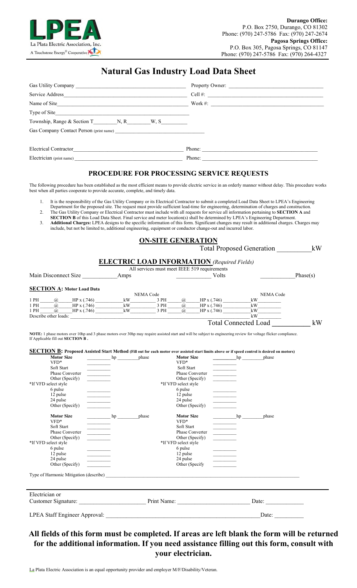

# **Natural Gas Industry Load Data Sheet**

|                              | Property Owner: |
|------------------------------|-----------------|
| Service Address              | $Cell$ #:       |
| Name of Site                 | Work $\#$ :     |
|                              |                 |
|                              |                 |
|                              |                 |
| <b>Electrical Contractor</b> | Phone:          |
| Electrician (print name)     | Phone:          |

# **PROCEDURE FOR PROCESSING SERVICE REQUESTS**

The following procedure has been established as the most efficient means to provide electric service in an orderly manner without delay. This procedure works best when all parties cooperate to provide accurate, complete, and timely data.

- 1. It is the responsibility of the Gas Utility Company or its Electrical Contractor to submit a completed Load Data Sheet to LPEA's Engineering Department for the proposed site. The request must provide sufficient lead-time for engineering, determination of charges and construction.
- 2. The Gas Utility Company or Electrical Contractor must include with all requests for service all information pertaining to **SECTION A** and
- **SECTION B** of this Load Data Sheet. Final service and meter location(s) shall be determined by LPEA's Engineering Department.
- 3. **Additional Charges:** LPEA designs to the specific information of this form. Significant changes may result in additional charges. Charges may include, but not be limited to, additional engineering, equipment or conductor change-out and incurred labor.

# **ON-SITE GENERATION**

|                      |      | <b>Total Proposed Generation</b>                   | kW       |
|----------------------|------|----------------------------------------------------|----------|
|                      |      | <b>ELECTRIC LOAD INFORMATION</b> (Required Fields) |          |
|                      |      | All services must meet IEEE 519 requirements       |          |
| Main Disconnect Size | Amps | Volts                                              | Phase(s) |

## **SECTION A: Motor Load Data**

|      |                       |             |    | NEMA Code |     |             | <b>NEMA Code</b> |  |
|------|-----------------------|-------------|----|-----------|-----|-------------|------------------|--|
| 1 PH | (a)                   | HP x (.746) | kW | PH        | (a) | HP x (.746) | kW               |  |
| 1 PH | (a)                   | HP x (.746) | kW | PH        | (a) | HPx(.746)   | kW               |  |
| 1 PH | (a)                   | HP x (.746) | kW | PH        | (a  | HP x (.746) | kW               |  |
|      | Describe other loads: |             |    |           |     |             | kW               |  |

Total Connected Load **\_\_\_\_\_\_\_\_\_\_\_** kW

**NOTE:** 1 phase motors over 10hp and 3 phase motors over 30hp may require assisted start and will be subject to engineering review for voltage flicker compliance. If Applicable fill out **SECTION B .**

### **SECTION B: Proposed Assisted Start Method (Fill out for each motor over assisted start limits above or if speed control is desired on motors)**

| <b>Motor Size</b><br>VFD*<br>Soft Start<br>Phase Converter<br>Other (Specify)<br>*If VFD select style<br>6 pulse<br>12 pulse<br>24 pulse<br>Other (Specify) | hp<br>$\begin{tabular}{ c c c c } \hline \quad \quad & \quad \quad & \quad \quad \\ \hline \quad \quad & \quad \quad & \quad \quad \\ \hline \quad \quad & \quad \quad & \quad \quad \\ \hline \quad \quad & \quad \quad & \quad \quad \\ \hline \end{tabular}$ | phase | <b>Motor Size</b><br>VFD*<br>Soft Start<br><b>Phase Converter</b><br>Other (Specify)<br>*If VFD select style<br>6 pulse<br>12 pulse<br>24 pulse<br>Other (Specify) | hp<br>$\begin{tabular}{ c c c c } \hline \quad \quad & \quad \quad & \quad \quad \\ \hline \quad \quad & \quad \quad & \quad \quad \\ \hline \quad \quad & \quad \quad & \quad \quad \\ \hline \quad \quad & \quad \quad & \quad \quad \\ \hline \end{tabular}$<br><b>Contractor</b>        | phase |  |
|-------------------------------------------------------------------------------------------------------------------------------------------------------------|-----------------------------------------------------------------------------------------------------------------------------------------------------------------------------------------------------------------------------------------------------------------|-------|--------------------------------------------------------------------------------------------------------------------------------------------------------------------|---------------------------------------------------------------------------------------------------------------------------------------------------------------------------------------------------------------------------------------------------------------------------------------------|-------|--|
| <b>Motor Size</b><br>VFD*<br>Soft Start<br>Phase Converter<br>Other (Specify)<br>*If VFD select style<br>6 pulse<br>12 pulse<br>24 pulse<br>Other (Specify) | hp<br><b>Contract Contract</b><br><u> Liberatura de la pro</u>                                                                                                                                                                                                  | phase | <b>Motor Size</b><br>$VFD*$<br>Soft Start<br>Phase Converter<br>Other (Specify)<br>*If VFD select style<br>6 pulse<br>12 pulse<br>24 pulse<br>Other (Specify       | hp<br>$\begin{tabular}{ c c c } \hline \quad \quad & \quad \quad & \quad \quad \\ \hline \quad \quad & \quad \quad & \quad \quad \\ \hline \quad \quad & \quad \quad & \quad \quad \\ \hline \quad \quad & \quad \quad & \quad \quad \\ \hline \end{tabular}$<br>$\sim$ 100 $\mu$ m $^{-1}$ | phase |  |
| Electrician or                                                                                                                                              |                                                                                                                                                                                                                                                                 |       |                                                                                                                                                                    |                                                                                                                                                                                                                                                                                             |       |  |
| Customer Signature:                                                                                                                                         |                                                                                                                                                                                                                                                                 |       | Print Name:                                                                                                                                                        |                                                                                                                                                                                                                                                                                             | Date: |  |
| LPEA Staff Engineer Approval:                                                                                                                               |                                                                                                                                                                                                                                                                 |       |                                                                                                                                                                    |                                                                                                                                                                                                                                                                                             | Date: |  |

# **All fields of this form must be completed. If areas are left blank the form will be returned for the additional information. If you need assistance filling out this form, consult with your electrician.**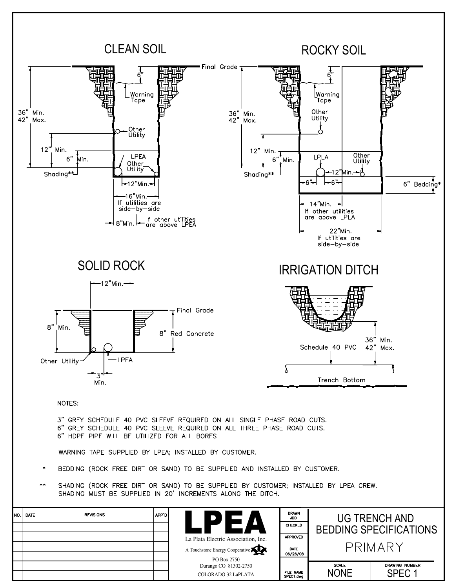

| NO. DATE | <b>REVISIONS</b> | APP'D |                                      | <b>DRAWN</b><br><b>JDD</b> |              | UG TRENCH AND                 |
|----------|------------------|-------|--------------------------------------|----------------------------|--------------|-------------------------------|
|          |                  |       |                                      | CHECKED                    |              | <b>BEDDING SPECIFICATIONS</b> |
|          |                  |       | La Plata Electric Association, Inc.  | <b>APPROVED</b>            |              |                               |
|          |                  |       | A Touchstone Energy Cooperative      | DATE<br>06/26/08           |              | PRIMARY                       |
|          |                  |       | PO Box 2750<br>Durango CO 81302-2750 |                            | <b>SCALE</b> | DRAWING NUMBER                |
|          |                  |       | COLORADO 32 LaPLATA                  | FILE NAME<br>SPEC1.dwg     | <b>NONE</b>  | SPEC <sub>1</sub>             |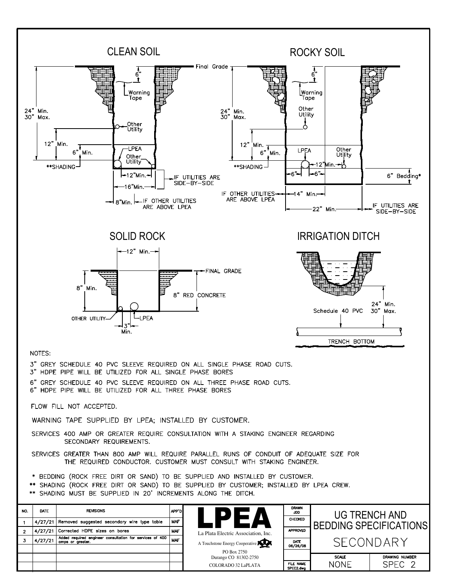